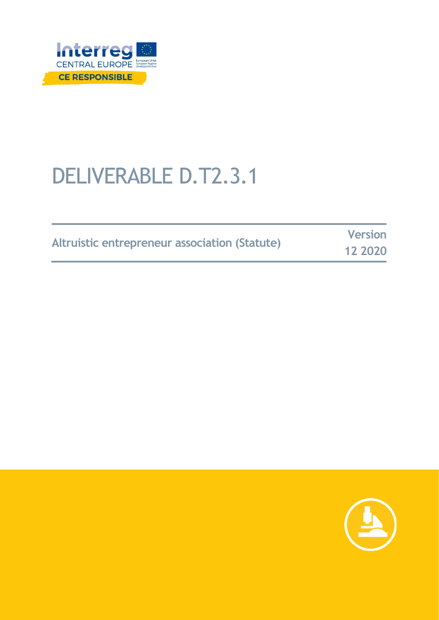

# DELIVERABLE D.T2.3.1

| Altruistic entrepreneur association (Statute) | <b>Version</b> |
|-----------------------------------------------|----------------|
|                                               | 12 2020        |

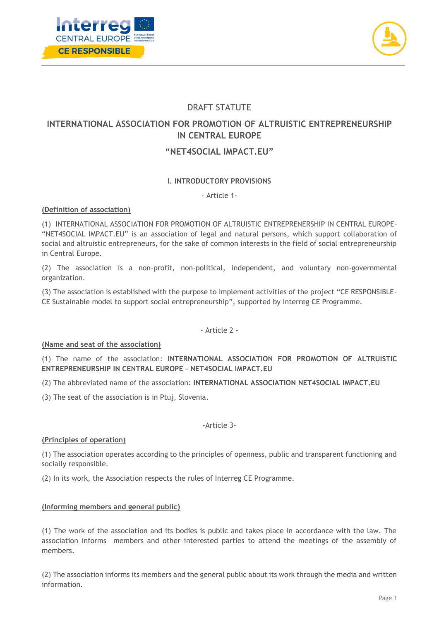



# DRAFT STATUTE

# **INTERNATIONAL ASSOCIATION FOR PROMOTION OF ALTRUISTIC ENTREPRENEURSHIP IN CENTRAL EUROPE**

# **"NET4SOCIAL IMPACT.EU"**

## **I. INTRODUCTORY PROVISIONS**

- Article 1-

## **(Definition of association)**

(1) INTERNATIONAL ASSOCIATION FOR PROMOTION OF ALTRUISTIC ENTREPRENERSHIP IN CENTRAL EUROPE– "NET4SOCIAL IMPACT.EU" is an association of legal and natural persons, which support collaboration of social and altruistic entrepreneurs, for the sake of common interests in the field of social entrepreneurship in Central Europe.

(2) The association is a non-profit, non-political, independent, and voluntary non-governmental organization.

(3) The association is established with the purpose to implement activities of the project "CE RESPONSIBLE-CE Sustainable model to support social entrepreneurship", supported by Interreg CE Programme.

- Article 2 -

## **(Name and seat of the association)**

(1) The name of the association: **INTERNATIONAL ASSOCIATION FOR PROMOTION OF ALTRUISTIC ENTREPRENEURSHIP IN CENTRAL EUROPE – NET4SOCIAL IMPACT.EU**

(2) The abbreviated name of the association: **INTERNATIONAL ASSOCIATION NET4SOCIAL IMPACT.EU**

(3) The seat of the association is in Ptuj, Slovenia.

## -Article 3-

## **(Principles of operation)**

(1) The association operates according to the principles of openness, public and transparent functioning and socially responsible.

(2) In its work, the Association respects the rules of Interreg CE Programme.

## **(Informing members and general public)**

(1) The work of the association and its bodies is public and takes place in accordance with the law. The association informs members and other interested parties to attend the meetings of the assembly of members.

(2) The association informs its members and the general public about its work through the media and written information.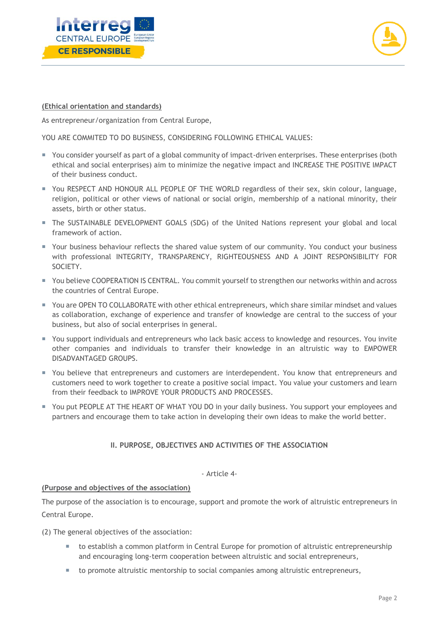



## **(Ethical orientation and standards)**

As entrepreneur/organization from Central Europe,

YOU ARE COMMITED TO DO BUSINESS, CONSIDERING FOLLOWING ETHICAL VALUES:

- You consider yourself as part of a global community of impact-driven enterprises. These enterprises (both ethical and social enterprises) aim to minimize the negative impact and INCREASE THE POSITIVE IMPACT of their business conduct.
- You RESPECT AND HONOUR ALL PEOPLE OF THE WORLD regardless of their sex, skin colour, language, religion, political or other views of national or social origin, membership of a national minority, their assets, birth or other status.
- The SUSTAINABLE DEVELOPMENT GOALS (SDG) of the United Nations represent your global and local framework of action.
- Your business behaviour reflects the shared value system of our community. You conduct your business with professional INTEGRITY, TRANSPARENCY, RIGHTEOUSNESS AND A JOINT RESPONSIBILITY FOR SOCIETY.
- You believe COOPERATION IS CENTRAL. You commit yourself to strengthen our networks within and across the countries of Central Europe.
- You are OPEN TO COLLABORATE with other ethical entrepreneurs, which share similar mindset and values as collaboration, exchange of experience and transfer of knowledge are central to the success of your business, but also of social enterprises in general.
- You support individuals and entrepreneurs who lack basic access to knowledge and resources. You invite other companies and individuals to transfer their knowledge in an altruistic way to EMPOWER DISADVANTAGED GROUPS.
- You believe that entrepreneurs and customers are interdependent. You know that entrepreneurs and customers need to work together to create a positive social impact. You value your customers and learn from their feedback to IMPROVE YOUR PRODUCTS AND PROCESSES.
- You put PEOPLE AT THE HEART OF WHAT YOU DO in your daily business. You support your employees and partners and encourage them to take action in developing their own ideas to make the world better.

## **II. PURPOSE, OBJECTIVES AND ACTIVITIES OF THE ASSOCIATION**

#### - Article 4-

## **(Purpose and objectives of the association)**

The purpose of the association is to encourage, support and promote the work of altruistic entrepreneurs in Central Europe.

(2) The general objectives of the association:

- to establish a common platform in Central Europe for promotion of altruistic entrepreneurship and encouraging long-term cooperation between altruistic and social entrepreneurs,
- to promote altruistic mentorship to social companies among altruistic entrepreneurs,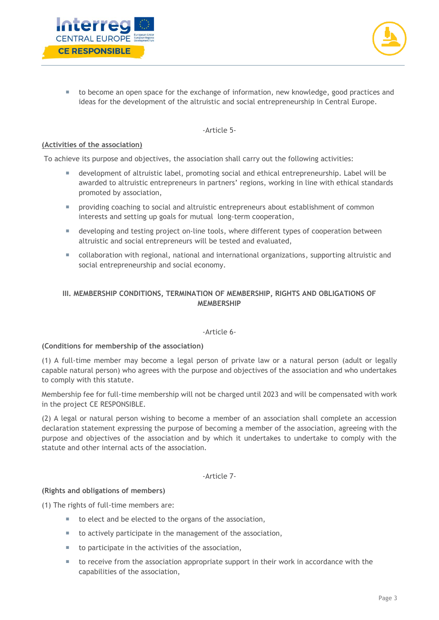



■ to become an open space for the exchange of information, new knowledge, good practices and ideas for the development of the altruistic and social entrepreneurship in Central Europe.

#### -Article 5-

#### **(Activities of the association)**

To achieve its purpose and objectives, the association shall carry out the following activities:

- development of altruistic label, promoting social and ethical entrepreneurship. Label will be awarded to altruistic entrepreneurs in partners' regions, working in line with ethical standards promoted by association,
- providing coaching to social and altruistic entrepreneurs about establishment of common interests and setting up goals for mutual long-term cooperation,
- developing and testing project on-line tools, where different types of cooperation between altruistic and social entrepreneurs will be tested and evaluated,
- collaboration with regional, national and international organizations, supporting altruistic and social entrepreneurship and social economy.

## **III. MEMBERSHIP CONDITIONS, TERMINATION OF MEMBERSHIP, RIGHTS AND OBLIGATIONS OF MEMBERSHIP**

## -Article 6-

## **(Conditions for membership of the association)**

(1) A full-time member may become a legal person of private law or a natural person (adult or legally capable natural person) who agrees with the purpose and objectives of the association and who undertakes to comply with this statute.

Membership fee for full-time membership will not be charged until 2023 and will be compensated with work in the project CE RESPONSIBLE.

(2) A legal or natural person wishing to become a member of an association shall complete an accession declaration statement expressing the purpose of becoming a member of the association, agreeing with the purpose and objectives of the association and by which it undertakes to undertake to comply with the statute and other internal acts of the association.

## -Article 7-

## **(Rights and obligations of members)**

(1) The rights of full-time members are:

- to elect and be elected to the organs of the association,
- to actively participate in the management of the association,
- to participate in the activities of the association,
- to receive from the association appropriate support in their work in accordance with the capabilities of the association,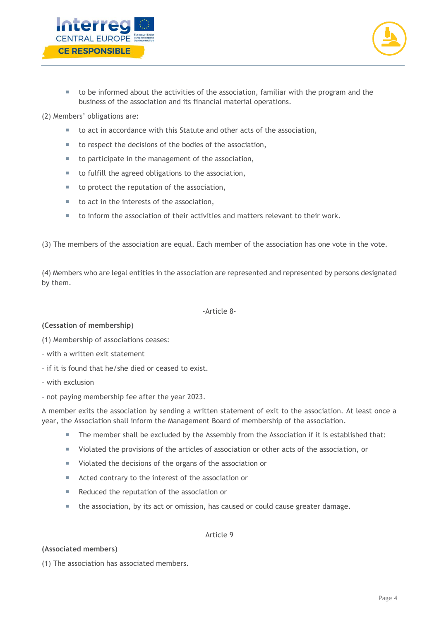



 to be informed about the activities of the association, familiar with the program and the business of the association and its financial material operations.

(2) Members' obligations are:

- to act in accordance with this Statute and other acts of the association,
- to respect the decisions of the bodies of the association,
- to participate in the management of the association,
- to fulfill the agreed obligations to the association,
- to protect the reputation of the association,
- $\blacksquare$  to act in the interests of the association,
- to inform the association of their activities and matters relevant to their work.

(3) The members of the association are equal. Each member of the association has one vote in the vote.

(4) Members who are legal entities in the association are represented and represented by persons designated by them.

#### -Article 8-

#### **(Cessation of membership)**

- (1) Membership of associations ceases:
- with a written exit statement
- if it is found that he/she died or ceased to exist.
- with exclusion
- not paying membership fee after the year 2023.

A member exits the association by sending a written statement of exit to the association. At least once a year, the Association shall inform the Management Board of membership of the association.

- The member shall be excluded by the Assembly from the Association if it is established that:
- Violated the provisions of the articles of association or other acts of the association, or
- Violated the decisions of the organs of the association or
- Acted contrary to the interest of the association or
- Reduced the reputation of the association or
- the association, by its act or omission, has caused or could cause greater damage.

#### Article 9

#### **(Associated members)**

(1) The association has associated members.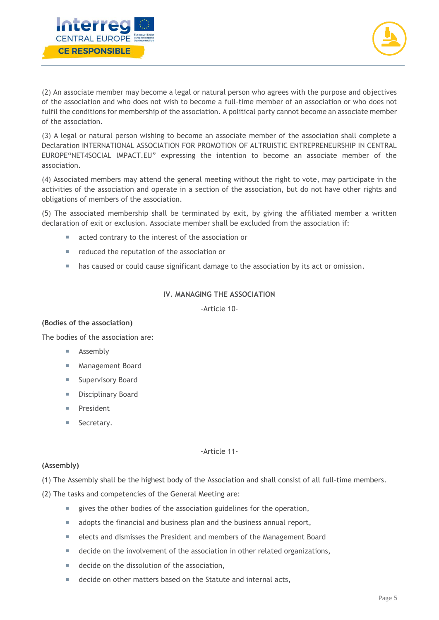



(2) An associate member may become a legal or natural person who agrees with the purpose and objectives of the association and who does not wish to become a full-time member of an association or who does not fulfil the conditions for membership of the association. A political party cannot become an associate member of the association.

(3) A legal or natural person wishing to become an associate member of the association shall complete a Declaration INTERNATIONAL ASSOCIATION FOR PROMOTION OF ALTRUISTIC ENTREPRENEURSHIP IN CENTRAL EUROPE"NET4SOCIAL IMPACT.EU" expressing the intention to become an associate member of the association.

(4) Associated members may attend the general meeting without the right to vote, may participate in the activities of the association and operate in a section of the association, but do not have other rights and obligations of members of the association.

(5) The associated membership shall be terminated by exit, by giving the affiliated member a written declaration of exit or exclusion. Associate member shall be excluded from the association if:

- acted contrary to the interest of the association or
- e reduced the reputation of the association or
- **has caused or could cause significant damage to the association by its act or omission.**

## **IV. MANAGING THE ASSOCIATION**

-Article 10-

## **(Bodies of the association)**

The bodies of the association are:

- **Assembly**
- **Management Board**
- **Supervisory Board**
- **Disciplinary Board**
- **President**
- **Secretary.**

#### -Article 11-

#### **(Assembly)**

(1) The Assembly shall be the highest body of the Association and shall consist of all full-time members.

(2) The tasks and competencies of the General Meeting are:

- qives the other bodies of the association guidelines for the operation,
- adopts the financial and business plan and the business annual report,
- elects and dismisses the President and members of the Management Board
- decide on the involvement of the association in other related organizations,
- decide on the dissolution of the association,
- decide on other matters based on the Statute and internal acts,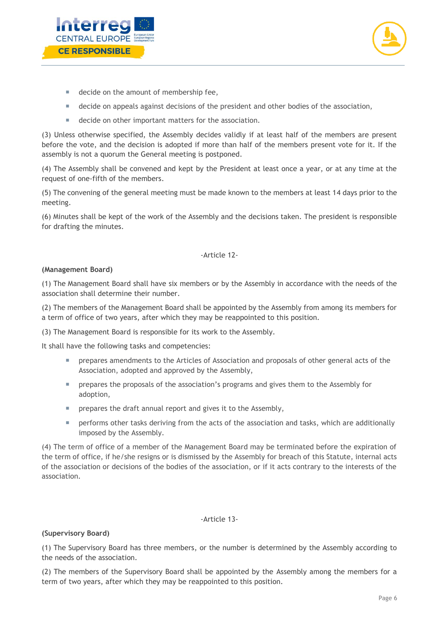



- decide on the amount of membership fee,
- **decide on appeals against decisions of the president and other bodies of the association,**
- decide on other important matters for the association.

(3) Unless otherwise specified, the Assembly decides validly if at least half of the members are present before the vote, and the decision is adopted if more than half of the members present vote for it. If the assembly is not a quorum the General meeting is postponed.

(4) The Assembly shall be convened and kept by the President at least once a year, or at any time at the request of one-fifth of the members.

(5) The convening of the general meeting must be made known to the members at least 14 days prior to the meeting.

(6) Minutes shall be kept of the work of the Assembly and the decisions taken. The president is responsible for drafting the minutes.

#### -Article 12-

#### **(Management Board)**

(1) The Management Board shall have six members or by the Assembly in accordance with the needs of the association shall determine their number.

(2) The members of the Management Board shall be appointed by the Assembly from among its members for a term of office of two years, after which they may be reappointed to this position.

(3) The Management Board is responsible for its work to the Assembly.

It shall have the following tasks and competencies:

- **Prepares amendments to the Articles of Association and proposals of other general acts of the** Association, adopted and approved by the Assembly,
- **Prepares the proposals of the association's programs and gives them to the Assembly for** adoption,
- **Paramele 1** prepares the draft annual report and gives it to the Assembly,
- **Performs other tasks deriving from the acts of the association and tasks, which are additionally** imposed by the Assembly.

(4) The term of office of a member of the Management Board may be terminated before the expiration of the term of office, if he/she resigns or is dismissed by the Assembly for breach of this Statute, internal acts of the association or decisions of the bodies of the association, or if it acts contrary to the interests of the association.

#### -Article 13-

## **(Supervisory Board)**

(1) The Supervisory Board has three members, or the number is determined by the Assembly according to the needs of the association.

(2) The members of the Supervisory Board shall be appointed by the Assembly among the members for a term of two years, after which they may be reappointed to this position.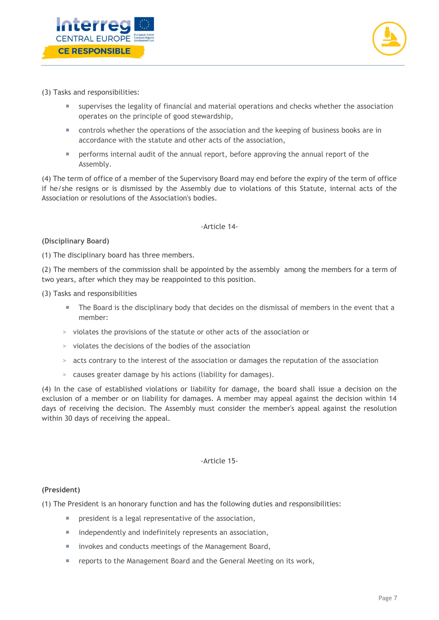



- (3) Tasks and responsibilities:
	- supervises the legality of financial and material operations and checks whether the association operates on the principle of good stewardship,
	- controls whether the operations of the association and the keeping of business books are in accordance with the statute and other acts of the association,
	- **Performs internal audit of the annual report, before approving the annual report of the** Assembly.

(4) The term of office of a member of the Supervisory Board may end before the expiry of the term of office if he/she resigns or is dismissed by the Assembly due to violations of this Statute, internal acts of the Association or resolutions of the Association's bodies.

-Article 14-

## **(Disciplinary Board)**

(1) The disciplinary board has three members.

(2) The members of the commission shall be appointed by the assembly among the members for a term of two years, after which they may be reappointed to this position.

(3) Tasks and responsibilities

- The Board is the disciplinary body that decides on the dismissal of members in the event that a member:
- > violates the provisions of the statute or other acts of the association or
- > violates the decisions of the bodies of the association
- > acts contrary to the interest of the association or damages the reputation of the association
- > causes greater damage by his actions (liability for damages).

(4) In the case of established violations or liability for damage, the board shall issue a decision on the exclusion of a member or on liability for damages. A member may appeal against the decision within 14 days of receiving the decision. The Assembly must consider the member's appeal against the resolution within 30 days of receiving the appeal.

#### -Article 15-

#### **(President)**

(1) The President is an honorary function and has the following duties and responsibilities:

- **PEDIE:** president is a legal representative of the association,
- **independently and indefinitely represents an association,**
- **IF** invokes and conducts meetings of the Management Board,
- **F** reports to the Management Board and the General Meeting on its work,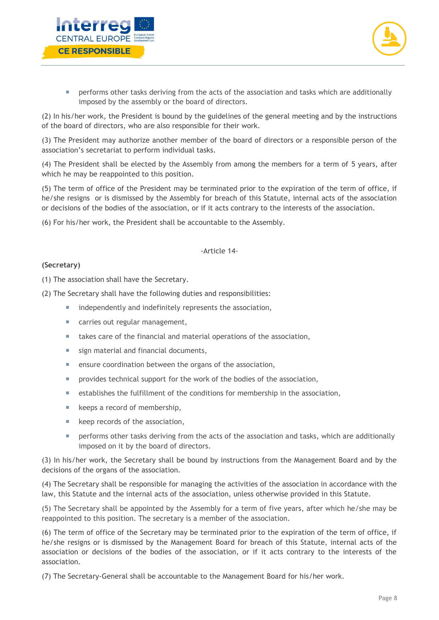



**Pherforms other tasks deriving from the acts of the association and tasks which are additionally** imposed by the assembly or the board of directors.

(2) In his/her work, the President is bound by the guidelines of the general meeting and by the instructions of the board of directors, who are also responsible for their work.

(3) The President may authorize another member of the board of directors or a responsible person of the association's secretariat to perform individual tasks.

(4) The President shall be elected by the Assembly from among the members for a term of 5 years, after which he may be reappointed to this position.

(5) The term of office of the President may be terminated prior to the expiration of the term of office, if he/she resigns or is dismissed by the Assembly for breach of this Statute, internal acts of the association or decisions of the bodies of the association, or if it acts contrary to the interests of the association.

(6) For his/her work, the President shall be accountable to the Assembly.

#### -Article 14-

## **(Secretary)**

(1) The association shall have the Secretary.

(2) The Secretary shall have the following duties and responsibilities:

- independently and indefinitely represents the association,
- carries out regular management,
- takes care of the financial and material operations of the association,
- sign material and financial documents,
- ensure coordination between the organs of the association,
- **PEDECISY I** provides technical support for the work of the bodies of the association,
- establishes the fulfillment of the conditions for membership in the association,
- $\blacksquare$  keeps a record of membership,
- **keep records of the association,**
- **Pherforms other tasks deriving from the acts of the association and tasks, which are additionally** imposed on it by the board of directors.

(3) In his/her work, the Secretary shall be bound by instructions from the Management Board and by the decisions of the organs of the association.

(4) The Secretary shall be responsible for managing the activities of the association in accordance with the law, this Statute and the internal acts of the association, unless otherwise provided in this Statute.

(5) The Secretary shall be appointed by the Assembly for a term of five years, after which he/she may be reappointed to this position. The secretary is a member of the association.

(6) The term of office of the Secretary may be terminated prior to the expiration of the term of office, if he/she resigns or is dismissed by the Management Board for breach of this Statute, internal acts of the association or decisions of the bodies of the association, or if it acts contrary to the interests of the association.

(7) The Secretary-General shall be accountable to the Management Board for his/her work.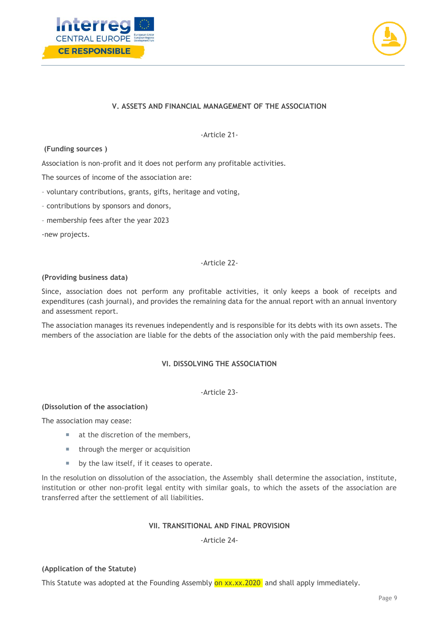



## **V. ASSETS AND FINANCIAL MANAGEMENT OF THE ASSOCIATION**

-Article 21-

#### **(Funding sources )**

Association is non-profit and it does not perform any profitable activities.

The sources of income of the association are:

- voluntary contributions, grants, gifts, heritage and voting,
- contributions by sponsors and donors,
- membership fees after the year 2023

-new projects.

## -Article 22-

#### **(Providing business data)**

Since, association does not perform any profitable activities, it only keeps a book of receipts and expenditures (cash journal), and provides the remaining data for the annual report with an annual inventory and assessment report.

The association manages its revenues independently and is responsible for its debts with its own assets. The members of the association are liable for the debts of the association only with the paid membership fees.

## **VI. DISSOLVING THE ASSOCIATION**

-Article 23-

## **(Dissolution of the association)**

The association may cease:

- at the discretion of the members,
- through the merger or acquisition
- **by the law itself, if it ceases to operate.**

In the resolution on dissolution of the association, the Assembly shall determine the association, institute, institution or other non-profit legal entity with similar goals, to which the assets of the association are transferred after the settlement of all liabilities.

## **VII. TRANSITIONAL AND FINAL PROVISION**

-Article 24-

## **(Application of the Statute)**

This Statute was adopted at the Founding Assembly on xx.xx.2020 and shall apply immediately.